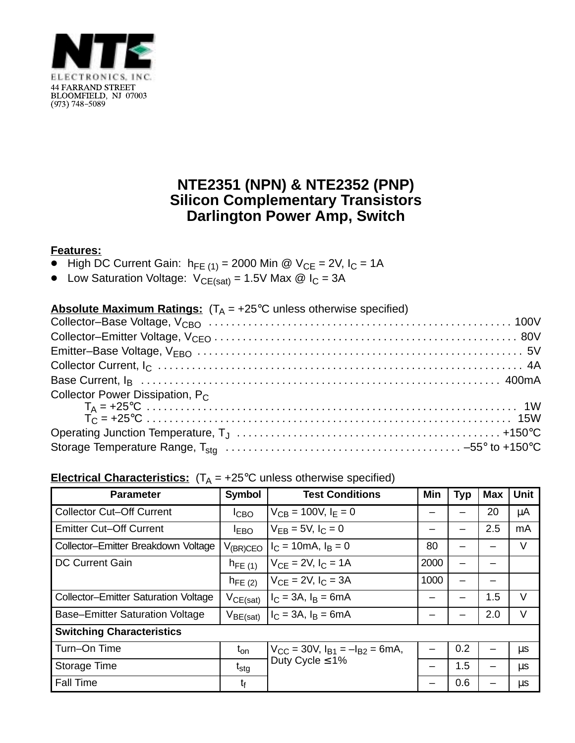

## **NTE2351 (NPN) & NTE2352 (PNP) Silicon Complementary Transistors Darlington Power Amp, Switch**

## **Features:**

- $\bullet$  High DC Current Gain:  $h_{FE (1)} = 2000$  Min @ V<sub>CE</sub> = 2V, I<sub>C</sub> = 1A
- Low Saturation Voltage:  $V_{CE(sat)} = 1.5V$  Max  $\omega$  I<sub>C</sub> = 3A

| <b>Absolute Maximum Ratings:</b> $(T_A = +25^{\circ}C$ unless otherwise specified) |  |
|------------------------------------------------------------------------------------|--|
|                                                                                    |  |
|                                                                                    |  |
|                                                                                    |  |
|                                                                                    |  |
|                                                                                    |  |
| Collector Power Dissipation, P <sub>C</sub>                                        |  |
|                                                                                    |  |
|                                                                                    |  |
|                                                                                    |  |

## **Electrical Characteristics:**  $(T_A = +25^{\circ}C$  unless otherwise specified)

| <b>Parameter</b>                            | <b>Symbol</b>    | <b>Test Conditions</b>                                               | Min  | Typ | <b>Max</b> | <b>Unit</b> |  |  |
|---------------------------------------------|------------------|----------------------------------------------------------------------|------|-----|------------|-------------|--|--|
| <b>Collector Cut-Off Current</b>            | I <sub>CBO</sub> | $V_{CB} = 100V, I_F = 0$                                             |      |     | 20         | μA          |  |  |
| <b>Emitter Cut-Off Current</b>              | <b>IEBO</b>      | $V_{FB} = 5V, I_C = 0$                                               |      |     | 2.5        | mA          |  |  |
| Collector-Emitter Breakdown Voltage         | $V_{(BR)CEO}$    | $I_C = 10 \text{mA}, I_B = 0$                                        | 80   |     |            | V           |  |  |
| <b>DC Current Gain</b>                      | $h_{FE(1)}$      | $V_{CE} = 2V$ , $I_C = 1A$                                           | 2000 |     |            |             |  |  |
|                                             | $h_{FE(2)}$      | $V_{CF} = 2V$ , $I_C = 3A$                                           | 1000 |     |            |             |  |  |
| <b>Collector-Emitter Saturation Voltage</b> | $V_{CE(sat)}$    | $I_C = 3A$ , $I_B = 6mA$                                             |      |     | 1.5        | $\vee$      |  |  |
| <b>Base-Emitter Saturation Voltage</b>      | $V_{BE(sat)}$    | $I_C = 3A$ , $I_B = 6mA$                                             |      |     | 2.0        | $\vee$      |  |  |
| <b>Switching Characteristics</b>            |                  |                                                                      |      |     |            |             |  |  |
| Turn-On Time                                | $t_{on}$         | $V_{CC}$ = 30V, $I_{B1}$ = $-I_{B2}$ = 6mA,<br>Duty Cycle $\leq 1\%$ |      | 0.2 |            | $\mu s$     |  |  |
| Storage Time                                | $t_{\text{stg}}$ |                                                                      |      | 1.5 |            | $\mu$ s     |  |  |
| <b>Fall Time</b>                            | t                |                                                                      |      | 0.6 |            | $\mu s$     |  |  |